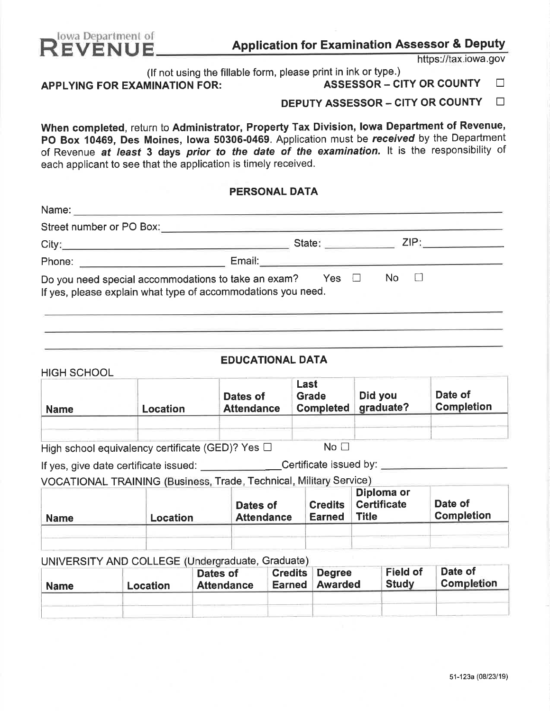

HIGH SCHOOL

# **REVENUE** Application for Examination Assessor & Deputy

https://tax.iowa.gov

(If not using the fillable form, please print in ink or type.)<br>
MINATION FOR: ASSESSOR - CITY OR COUNTY

APPLYING FOR EXAMINATION FOR:  $\qquad \qquad$  ASSESSOR - CITY OR COUNTY  $\qquad \Box$ 

DEPUTY ASSESSOR - CITY OR COUNTY  $\Box$ 

When completed, return to Administrator, Property Tax Division, Iowa Department of Revenue, PO Box 10469, Des Moines, Iowa 50306-0469. Application must be received by the Department of Revenue at least 3 days prior to the date of the examination. It is the responsibility of each applicant to see that the application is timely received.

## PERSONAL DATA

| Street number or PO Box:                                                                                            |        |                                                                                                                                                                                       |      |  |
|---------------------------------------------------------------------------------------------------------------------|--------|---------------------------------------------------------------------------------------------------------------------------------------------------------------------------------------|------|--|
| City:                                                                                                               |        | State: <b>State: State: State: State: State: State: State: State: State: State: State: State: State: State: State: State: State: State: State: State: State: State: State: State:</b> | ZIP: |  |
| Phone:                                                                                                              | Email: |                                                                                                                                                                                       |      |  |
| Do you need special accommodations to take an exam?<br>If yes, please explain what type of accommodations you need. |        | Yes $\Box$                                                                                                                                                                            | No   |  |

## EDUCATIONAL DATA

| <b>Name</b> | Location | Dates of<br><b>Attendance</b> | Last<br><b>Grade</b><br><b>Completed</b> | Did you<br>graduate? | Date of<br><b>Completion</b> |
|-------------|----------|-------------------------------|------------------------------------------|----------------------|------------------------------|
|             |          |                               |                                          |                      |                              |

High school equivalency certificate (GED)? Yes  $\Box$  No  $\Box$ 

If yes, give date certificate issued: Certificate issued by:

VOCATIONAL TRAINING (Business, Trade, Technical, Military Service)

| <b>Name</b> | Location | Dates of<br><b>Attendance</b> | <b>Credits</b><br><b>Earned</b> | Diploma or<br><b>Certificate</b><br><b>Title</b> | Date of<br><b>Completion</b> |
|-------------|----------|-------------------------------|---------------------------------|--------------------------------------------------|------------------------------|
|             |          |                               |                                 |                                                  |                              |

**UNIVERSITY AND COLLEGE (Undergraduate, Graduate)** 

| <b>Name</b> | $\sim$ . The contract of the contract of the contract of the contract of the contract of the contract of the contract of the contract of the contract of the contract of the contract of the contract of the contract of the co<br>Location | Dates of<br><b>Attendance</b> | <b>Earned</b> | <b>Credits Degree</b><br><b>Awarded</b> | <b>Field of</b><br><b>Study</b> | Date of<br>Completion |
|-------------|---------------------------------------------------------------------------------------------------------------------------------------------------------------------------------------------------------------------------------------------|-------------------------------|---------------|-----------------------------------------|---------------------------------|-----------------------|
|             |                                                                                                                                                                                                                                             |                               |               |                                         |                                 |                       |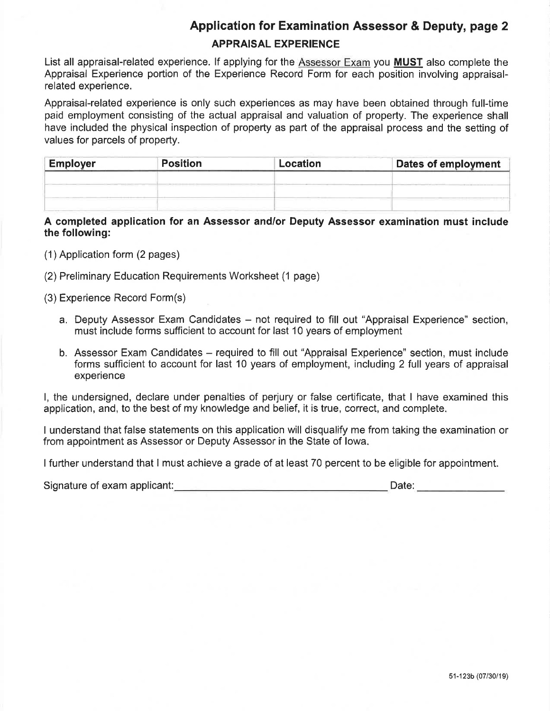## Application for Examination Assessor & Deputy, page 2

## APPRAISAL EXPERIENCE

List all appraisal-related experience. lf applying for the Assessor Exam you MUST also complete the Appraisal Experience portion of the Experience Record Form for each position involving appraisalrelated experience.

Appraisal-related experience is only such experiences as may have been obtained through full-time paid employment consisting of the actual appraisal and valuation of property. The experience shall have included the physical inspection of property as part of the appraisal process and the setting of values for parcels of property.

| <b>Employer</b> | <b>Position</b> | Location | <b>Dates of employment</b> |
|-----------------|-----------------|----------|----------------------------|
|                 |                 |          |                            |
|                 |                 |          |                            |
|                 |                 |          |                            |

A completed application for an Assessor and/or Deputy Assessor examination must include the following:

- (1) Application form (2 pages)
- (2) Preliminary Education Requirements Worksheet (1 page)
- (3) Experience Record Form(s)
	- a. Deputy Assessor Exam Candidates not required to fill out "Appraisal Experience" section, must include forms sufficient to account for last 10 years of employment
	- b. Assessor Exam Candidates required to fill out "Appraisal Experience" section, must include forms sufficient to account for last 10 years of employment, including 2 full years of appraisal experience

l, the undersigned, declare under penalties of perjury or false certificate, that I have examined this application, and, to the best of my knowledge and belief, it is true, correct, and complete.

I understand that false statements on this application will disqualify me from taking the examination or from appointment as Assessor or Deputy Assessor in the State of lowa.

I further understand that I must achieve a grade of at least 70 percent to be eligible for appointment.

Signature of exam applicant: Date: Date: Date: Date: Date: Date: Date: Date: Date: Date: Date: Date: Date: Date: Date: Date: Date: Date: Date: Date: Date: Date: Date: Date: Date: Date: Date: Date: Date: Date: Date: Date: D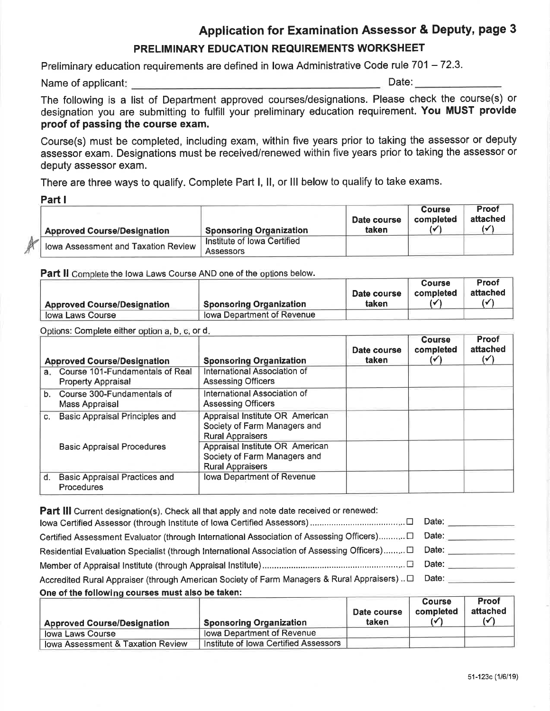## Application for Examination Assessor & Deputy, page 3

## PRELIMINARY EDUCATION REQUIREMENTS WORKSHEET

Preliminary education requirements are defined in Iowa Administrative Code rule 701 - 72.3.

Name of applicant: Date: Date: Date: Date: Date: Date: Date: Date: Date: Date: Date: Date: Date: Date: Date: Date: Date: Date: Date: Date: Date: Date: Date: Date: Date: Date: Date: Date: Date: Date: Date: Date: Date: Date:

The following is a list of Department approved courses/designations, Please check the course(s) or designation you are submitting to fulfill your preliminary education requirement. You MUST provide proof of passing the course exam.

Course(s) must be completed, including exam, within five years prior to taking the assessor or deputy assessor exam. Designations must be received/renewed within five years prior to taking the assessor or deputy assessor exam.

There are three ways to qualify. Complete Part l, ll, or lll below to qualify to take exams,

Part <sup>I</sup>

Þł

|                                     |                                | Date course | <b>Course</b><br>completed | <b>Proof</b><br>attached |
|-------------------------------------|--------------------------------|-------------|----------------------------|--------------------------|
| <b>Approved Course/Designation</b>  | <b>Sponsoring Organization</b> | taken       | ₩                          |                          |
| lowa Assessment and Taxation Review | Institute of Iowa Certified    |             |                            |                          |
|                                     | Assessors                      |             |                            |                          |

Part II Complete the lowa Laws Course AND one of the options below.

|                                    |                                | Date course | <b>Course</b><br>completed | Proof<br>attached |
|------------------------------------|--------------------------------|-------------|----------------------------|-------------------|
| <b>Approved Course/Designation</b> | <b>Sponsoring Organization</b> | taken       |                            |                   |
| lowa Laws Course                   | lowa Department of Revenue     |             |                            |                   |

Options: Complete either option a, b, c, or d.

|                | <b>Approved Course/Designation</b>                              | <b>Sponsoring Organization</b>                                                             | Date course<br>taken. | <b>Course</b><br>completed<br>$(\checkmark)$ | Proof<br>attached<br>$(\checkmark)$ |
|----------------|-----------------------------------------------------------------|--------------------------------------------------------------------------------------------|-----------------------|----------------------------------------------|-------------------------------------|
|                | a. Course 101-Fundamentals of Real<br><b>Property Appraisal</b> | International Association of<br><b>Assessing Officers</b>                                  |                       |                                              |                                     |
|                | b. Course 300-Fundamentals of<br>Mass Appraisal                 | International Association of<br><b>Assessing Officers</b>                                  |                       |                                              |                                     |
| C <sub>r</sub> | <b>Basic Appraisal Principles and</b>                           | Appraisal Institute OR American<br>Society of Farm Managers and<br><b>Rural Appraisers</b> |                       |                                              |                                     |
|                | <b>Basic Appraisal Procedures</b>                               | Appraisal Institute OR American<br>Society of Farm Managers and<br><b>Rural Appraisers</b> |                       |                                              |                                     |
| d.             | <b>Basic Appraisal Practices and</b><br>Procedures              | Iowa Department of Revenue                                                                 |                       |                                              |                                     |

| <b>Part III</b> Current designation(s). Check all that apply and note date received or renewed:        |       |
|--------------------------------------------------------------------------------------------------------|-------|
|                                                                                                        | Date: |
| Certified Assessment Evaluator (through International Association of Assessing Officers)□ Date:        |       |
| Residential Evaluation Specialist (through International Association of Assessing Officers) [ Date:    |       |
|                                                                                                        | Date: |
| Accredited Rural Appraiser (through American Society of Farm Managers & Rural Appraisers) $\Box$ Date: |       |
| One of the following courses must also be taken:                                                       |       |

|                                    |                                       | Date course | <b>Course</b><br>completed | Proof<br>attached |
|------------------------------------|---------------------------------------|-------------|----------------------------|-------------------|
| <b>Approved Course/Designation</b> | <b>Sponsoring Organization</b>        | taken       | ′√                         |                   |
| lowa Laws Course                   | lowa Department of Revenue            |             |                            |                   |
| lowa Assessment & Taxation Review  | Institute of Iowa Certified Assessors |             |                            |                   |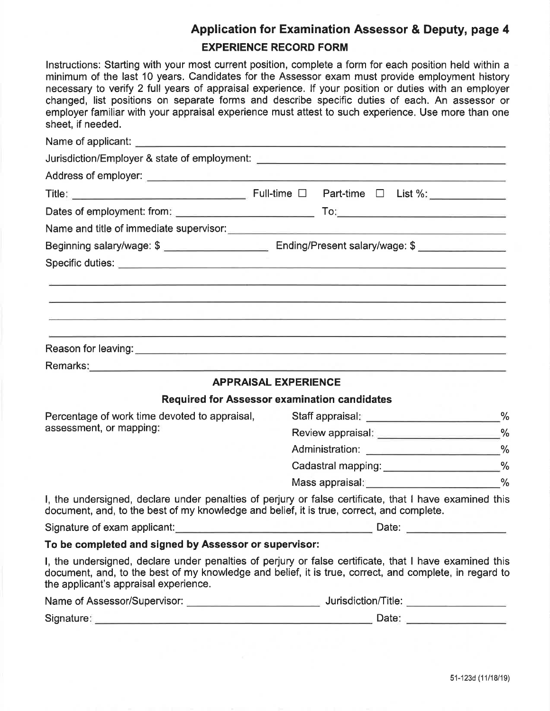## Application for Examination Assessor & Deputy, page 4 EXPERIENCE RECORD FORM

lnstructions: Starting with your most current position, complete a form for each position held within a minimum of the last 10 years. Candidates for the Assessor exam must provide employment history necessary to verify 2 full years of appraisal experience. lf your position or duties with an employer changed, list positions on separate forms and describe specific duties of each. An assessor or employer familiar with your appraisal experience must attest to such experience. Use more than one sheet, if needed.

| Jurisdiction/Employer & state of employment: ___________________________________                                                                                                                                                                          |                                          |                                             |  |
|-----------------------------------------------------------------------------------------------------------------------------------------------------------------------------------------------------------------------------------------------------------|------------------------------------------|---------------------------------------------|--|
|                                                                                                                                                                                                                                                           |                                          |                                             |  |
|                                                                                                                                                                                                                                                           |                                          |                                             |  |
|                                                                                                                                                                                                                                                           |                                          |                                             |  |
|                                                                                                                                                                                                                                                           |                                          |                                             |  |
| Beginning salary/wage: \$ __________________________________Ending/Present salary/wage: \$ ________________                                                                                                                                               |                                          |                                             |  |
|                                                                                                                                                                                                                                                           |                                          |                                             |  |
| <u> 1980 - Jan Alexandri, martxa alemaniar alemaniar alemaniar alemaniar alemaniar alemaniar alemaniar alemaniar</u><br><u> 1980 - An Aonaichte ann an Cathracha ann an Cathracha ann an Cathracha ann an Cathracha ann an C</u>                          |                                          |                                             |  |
|                                                                                                                                                                                                                                                           |                                          |                                             |  |
|                                                                                                                                                                                                                                                           |                                          |                                             |  |
| <b>APPRAISAL EXPERIENCE</b>                                                                                                                                                                                                                               |                                          |                                             |  |
| <b>Required for Assessor examination candidates</b>                                                                                                                                                                                                       |                                          |                                             |  |
| Percentage of work time devoted to appraisal,                                                                                                                                                                                                             | Staff appraisal: ______________________% |                                             |  |
| assessment, or mapping:                                                                                                                                                                                                                                   |                                          | Review appraisal: ______________________%   |  |
|                                                                                                                                                                                                                                                           |                                          | Administration: _______________________%    |  |
|                                                                                                                                                                                                                                                           |                                          | Cadastral mapping: _______________________% |  |
|                                                                                                                                                                                                                                                           |                                          | Mass appraisal: 30 %                        |  |
| I, the undersigned, declare under penalties of perjury or false certificate, that I have examined this<br>document, and, to the best of my knowledge and belief, it is true, correct, and complete.                                                       |                                          |                                             |  |
| Signature of exam applicant:                                                                                                                                                                                                                              |                                          | Date:                                       |  |
| To be completed and signed by Assessor or supervisor:                                                                                                                                                                                                     |                                          |                                             |  |
| I, the undersigned, declare under penalties of perjury or false certificate, that I have examined this<br>document, and, to the best of my knowledge and belief, it is true, correct, and complete, in regard to<br>the applicant's appraisal experience. |                                          |                                             |  |
|                                                                                                                                                                                                                                                           |                                          |                                             |  |
| Signature:<br>the control of the control of the control of the control of the control of                                                                                                                                                                  |                                          | Date:                                       |  |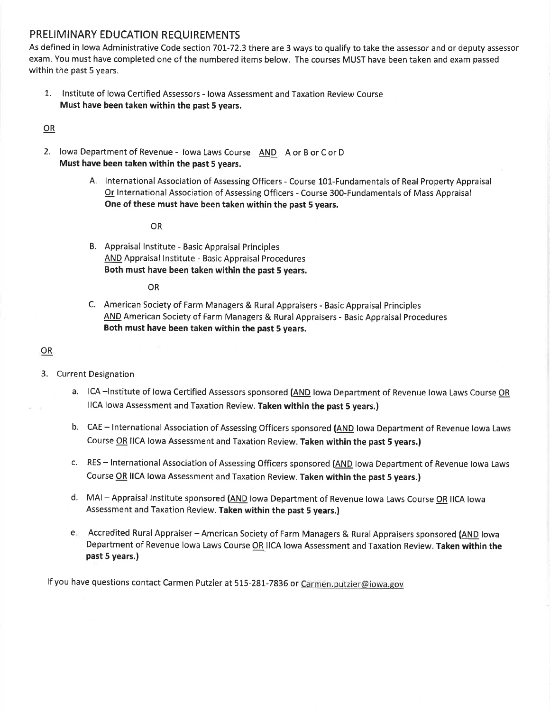## PRELIMINARY EDUCATION REQUIREMENTS

As defined in lowa Administrative Code section 7OL-72.3 there are 3 ways to qualify to take the assessor and or deputy assessor exam. You must have completed one of the numbered items below, The courses MUST have been taken and exam passed within the past 5 years,

L. lnstitute of lowa Certified Assessors - lowa Assessment and Taxation Review Course Must have been taken within the past 5 years.

### OR

- 2. lowa Department of Revenue lowa Laws Course AND A or B or C or D Must have been taken within the past 5 years.
	- A. International Association of Assessing Officers Course 101-Fundamentals of Real Property Appraisal Or lnternational Association of Assessing Officers - Course 300-Fundamentals of Mass Appraisal One of these must have been taken within the past 5 years.

### OR

B. Appraisal lnstitute - Basic Appraisal Principles AND Appraisal lnstitute - Basic Appraisal Procedures Both must have been taken within the past 5 years.

### OR

C. American Society of Farm Managers & Rural Appraisers - Basic Appraisal Principles AND American Society of Farm Managers & Rural Appraisers - Basic Appraisal Procedures Both must have been taken within the past 5 years.

### OR

### 3. Current Designation

- a. ICA -Institute of Iowa Certified Assessors sponsored (AND lowa Department of Revenue Iowa Laws Course OR llCA lowa Assessment and Taxation Review. Taken within the past 5 years.)
- b. CAE International Association of Assessing Officers sponsored (AND lowa Department of Revenue lowa Laws Course OR IICA lowa Assessment and Taxation Review. Taken within the past 5 years.)
- c. RES International Association of Assessing Officers sponsored (AND lowa Department of Revenue lowa Laws Course OR llCA lowa Assessment and Taxation Review. Taken within the past 5 years.)
- d. MAI Appraisal Institute sponsored (AND lowa Department of Revenue lowa Laws Course OR IICA lowa Assessment and Taxation Review. Taken within the past 5 years.)
- e. Accredited Rural Appraiser American Society of Farm Managers & Rural Appraisers sponsored (<u>AND</u> Iowa Department of Revenue lowa Laws Course OR IICA lowa Assessment and Taxation Review. Taken within the past 5 years.|

If you have questions contact Carmen Putzier at 515-281-7836 or Carmen.putzier@iowa.gov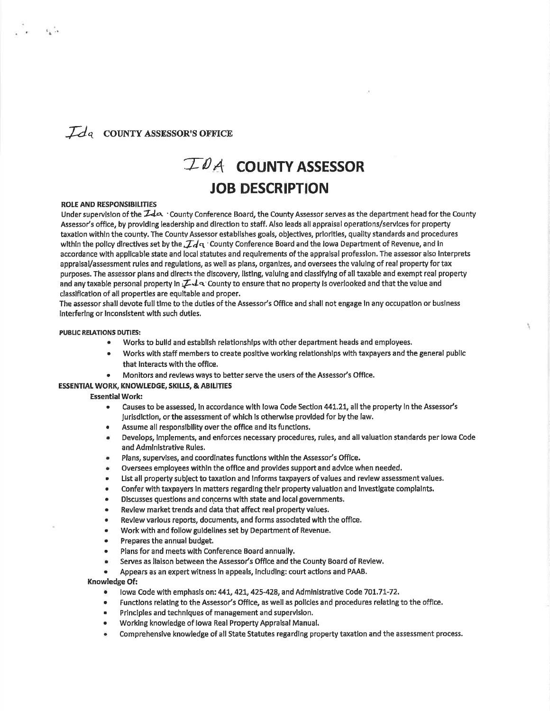## $\mathcal{I}_{d}$  county assessor's office

## $TDA$  COUNTY ASSESSOR JOB DESCRIPTION

### ROLE AND RESPONSIBILITIES

Under supervision of the  $\mathcal{I}$ d $\alpha$  . County Conference Board, the County Assessor serves as the department head for the County Assessor's offlce, by providlng leadership and directlon to staff. Also leads all appraisal operatlons/servlces for property taxation within the county. The County Assessor establishes goals, objectives, priorities, quality standards and procedures within the policy directives set by the,  $\mathcal{I}$ d  $\alpha$  'County Conference Board and the lowa Department of Revenue, and in accordance wlth applicable state and local statutes and requirements ofthe appralsal professlon. The assessor also lnterprets appralsa/assessment rules and regulations, as well as plans, organlzes, and oversees the valuing of real property for tax purposes. The assessor plans and directs the discovery, listing, valuing and classifying of all taxable and exempt real property and any taxable personal property in  $I\rightarrow\infty$  County to ensure that no property is overlooked and that the value and classlflcatlon of all propertles are equltable and proper.

The assessor shall devote full tlme to the duties of the Assessor's Office and shall not engage ln any occupatlon or buslness lnterferlng or lnconslstent wlth such duties.

#### PUBLIC RELATIONS DUTIES:

- Works to build and establish relationships with other department heads and employees.
- Works with staff members to create positive working relationships with taxpayers and the general public that lnteracts with the offlce.
- Monitors and revlews ways to better serve the users of the Assessor's Office.

### ESSENTIAL WORK, KNOWLEDGE, SKILLS, & ABILITIES

#### Essential Work:

- r Causes to be assessed, ln accordance wlth lowa Code Sectlon 44t,21, all the property in the Assessot's Jurlsdlctlon, orthe assessment of which ls othenvlse provlded for by the law.
- . Assume all responslblllty over the office and lts functlons.
- r Develops, lmplements, and enforces necessary procedures, rules, and all valuatlon standards per lowa Code and Admlnlstrative Rules.
- Plans, supervises, and coordinates functions within the Assessor's Office.
- Oversees employees within the office and provides support and advice when needed.
- List all property subject to taxation and Informs taxpayers of values and review assessment values.
- . Confer with taxpayers ln matters regardlng thelr property valuatlon and lnvestigate complalnts.
- Discusses questions and concerns with state and local governments.
- . Review market trends and data that affect real property values.
- Review various reports, documents, and forms associated with the office.
- Work with and follow guidelines set by Department of Revenue.
- . Prepares the annual budget.
- Plans for and meets with Conference Board annually.
- Serves as liaison between the Assessor's Office and the County Board of Review.
- . Appears as an expert witness ln appeals, lncludlng: court actlons and PAAB.

### Knowledge Of:

- lowa Code with emphasis on: 441, 421, 425-428, and Administrative Code 701.71-72.
- Functions relating to the Assessor's Office, as well as policies and procedures relating to the office.
- Principles and techniques of management and supervision.
- Working knowledge of Iowa Real Property Appraisal Manual.
- Comprehensive knowledge of all State Statutes regarding property taxation and the assessment process.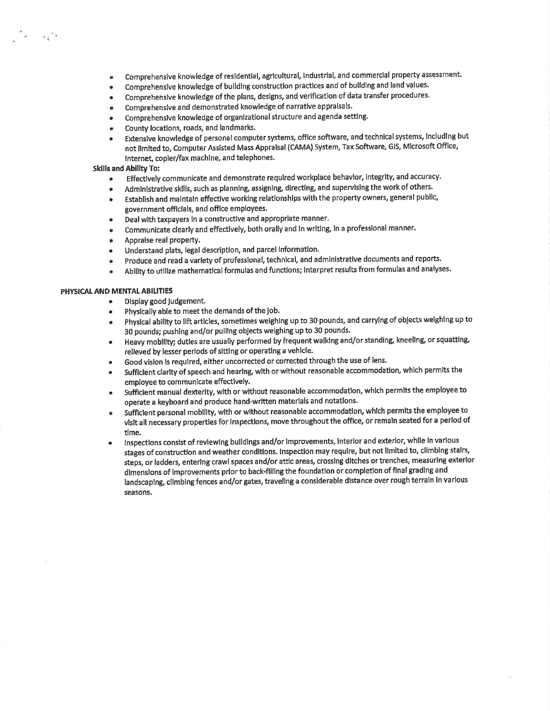- a Comprehensive knowledge of residential, agricultural, industrial, and commercial property assessment.
- a Comprehenslve knowledge of buildlng construction practlces and of bulldlng and land values.
- a Comprehenslve knowledge of the plans, deslgns, and verlfication of data transfer procedures.
- I Comprehenslve and demonstrated knowledge of narratlve appraisals.
- a Comprehenslve knowledge of organizational structure and agenda settlng'
- **u** County locations, roads, and landmark.
- a Extensive knowledge of personal computer systems, office software, and technical systems, lncluding but not limlted to, Computer Assisted Mass Appralsal (CAMA) System, Tax Software, GlS, Microsoft Offlce, Internet, copier/fax machine, and telephones.

### Skills and Ability To:

ីវ<sup>ិត</sup>្រ

- Effectively communicate and demonstrate required workplace behavior, integrity, and accuracy. a
- Administrative skills, such as planning, assigning, directing, and supervising the work of others. a
- Establish and maintaln effective working relationshlps with the property owners, general public, government offlclals, and offlce employees. a
- Deal with taxpayers ln a constructive and appropriate manner. ,
- Communicate clearly and effectively, both orally and ln writlng, ln a professional manner. a
- Appraise real property. a
- Understand plats, legal description, and parcel information. a
- produce and read a variety of professlonal, technical, and administratlve documents and reports. a
- Ability to utilize mathematical formulas and functions; Interpret results from formulas and analyses. a

### PHYSICAL AND MENTAL ABILITIES

- Display good judgement.
- Physically able to meet the demands of the job.
- . physlcal abillty to llft artlcles, sometimes weighing up to 30 pounds, and carrying of objects welghlng up to 30 pounds; pushing and/or pulllng obJects weighing up to 30 pounds.
- . Heavy mobillty; dutles are usually performed by frequent walklng and/or standing kneellng, or squatting, relieved by lesser perlods of sitting or operatlng a vehlcle.
- Good vislon is required, either uncorrected or corrected through the use of lens.
- Sufficient clarity of speech and hearing, with or without reasonable accommodation, which permits the employee to cornrnunicate effectlvely.
- Sufficient manual dexterity, with or without reasonable accommodation, which permits the employee to operate a keyboard and produce hand-written materials and notations.
- Sufficlent personal mobility, with or without reasonable accommodation, which permits the employee to vlslt all necessary propertles for lnspectlons, move throughout the office, or remaln seated for a period of time.
- . lnspectlons consist of revlewlng bulldlngs and/or lmprovements, lnterlor and exterior, whlle ln varlous stages of construction and weather condltions. lnspection may requlre, but not llmited to, climbing stalrs, steps, or ladders, enterlng crawl spaces and/or attic areas, crosslng ditches or trenches, measurlng exterlor dimensions of improvements prior to back-filling the foundation or completion of final grading and landscaplng, cllmblng fences and/or gates, travellng a conslderable dlstance over rough terraln in various seasons,